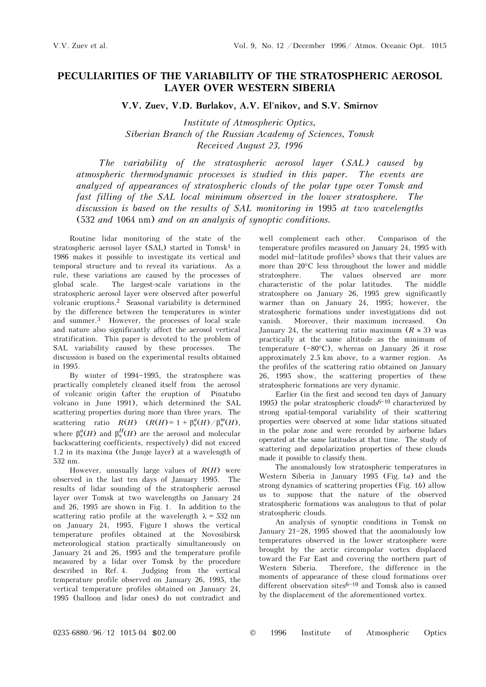## **PECULIARITIES OF THE VARIABILITY OF THE STRATOSPHERIC AEROSOL LAYER OVER WESTERN SIBERIA**

**V.V. Zuev, V.D. Burlakov, A.V. El'nikov, and S.V. Smirnov** 

*Institute of Atmospheric Optics, Siberian Branch of the Russian Academy of Sciences, Tomsk Received August 23, 1996* 

*The variability of the stratospheric aerosol layer (SAL) caused by atmospheric thermodynamic processes is studied in this paper. The events are analyzed of appearances of stratospheric clouds of the polar type over Tomsk and fast filling of the SAL local minimum observed in the lower stratosphere. The discussion is based on the results of SAL monitoring in* 1995 *at two wavelengths*  (532 *and* 1064 nm) *and on an analysis of synoptic conditions.*

Routine lidar monitoring of the state of the stratospheric aerosol layer  $(SAL)$  started in Tomsk<sup>1</sup> in 1986 makes it possible to investigate its vertical and temporal structure and to reveal its variations. As a rule, these variations are caused by the processes of global scale. The largest-scale variations in the stratospheric aerosol layer were observed after powerful volcanic eruptions.2 Seasonal variability is determined by the difference between the temperatures in winter and summer.3 However, the processes of local scale and nature also significantly affect the aerosol vertical stratification. This paper is devoted to the problem of SAL variability caused by these processes. The discussion is based on the experimental results obtained in 1995.

By winter of 1994-1995, the stratosphere was practically completely cleaned itself from the aerosol of volcanic origin (after the eruption of Pinatubo volcano in June 1991), which determined the SAL scattering properties during more than three years. The scattering ratio  $R(H)$   $(R(H)=1 + \beta_{\pi}^a(H)/\beta_{\pi}^m(H),$ where  $\beta_{\pi}^{a}(H)$  and  $\beta_{\pi}^{H}(H)$  are the aerosol and molecular backscattering coefficients, respectively) did not exceed 1.2 in its maxima (the Junge layer) at a wavelength of 532 nm.

However, unusually large values of *R*(*H*) were observed in the last ten days of January 1995. The results of lidar sounding of the stratospheric aerosol layer over Tomsk at two wavelengths on January 24 and 26, 1995 are shown in Fig. 1. In addition to the scattering ratio profile at the wavelength  $\lambda = 532$  nm on January 24, 1995, Figure 1 shows the vertical temperature profiles obtained at the Novosibirsk meteorological station practically simultaneously on January 24 and 26, 1995 and the temperature profile measured by a lidar over Tomsk by the procedure described in Ref. 4. Judging from the vertical temperature profile observed on January 26, 1995, the vertical temperature profiles obtained on January 24, 1995 (balloon and lidar ones) do not contradict and well complement each other. Comparison of the temperature profiles measured on January 24, 1995 with model mid-latitude profiles<sup>5</sup> shows that their values are more than 20°C less throughout the lower and middle stratosphere. The values observed are more characteristic of the polar latitudes. The middle characteristic of the polar latitudes. stratosphere on January 26, 1995 grew significantly warmer than on January 24, 1995; however, the stratospheric formations under investigations did not vanish. Moreover, their maximum increased. On January 24, the scattering ratio maximum  $(R \approx 3)$  was practically at the same altitude as the minimum of temperature  $(-80^{\circ}C)$ , whereas on January 26 it rose approximately 2.5 km above, to a warmer region. As the profiles of the scattering ratio obtained on January 26, 1995 show, the scattering properties of these stratospheric formations are very dynamic.

Earlier (in the first and second ten days of January 1995) the polar stratospheric clouds<sup>6-10</sup> characterized by strong spatial-temporal variability of their scattering properties were observed at some lidar stations situated in the polar zone and were recorded by airborne lidars operated at the same latitudes at that time. The study of scattering and depolarization properties of these clouds made it possible to classify them.

The anomalously low stratospheric temperatures in Western Siberia in January 1995 (Fig. 1*a*) and the strong dynamics of scattering properties (Fig. 1*b*) allow us to suppose that the nature of the observed stratospheric formations was analogous to that of polar stratospheric clouds.

An analysis of synoptic conditions in Tomsk on January  $21-28$ , 1995 showed that the anomalously low temperatures observed in the lower stratosphere were brought by the arctic circumpolar vortex displaced toward the Far East and covering the northern part of Western Siberia. Therefore, the difference in the moments of appearance of these cloud formations over different observation sites $6-10$  and Tomsk also is caused by the displacement of the aforementioned vortex.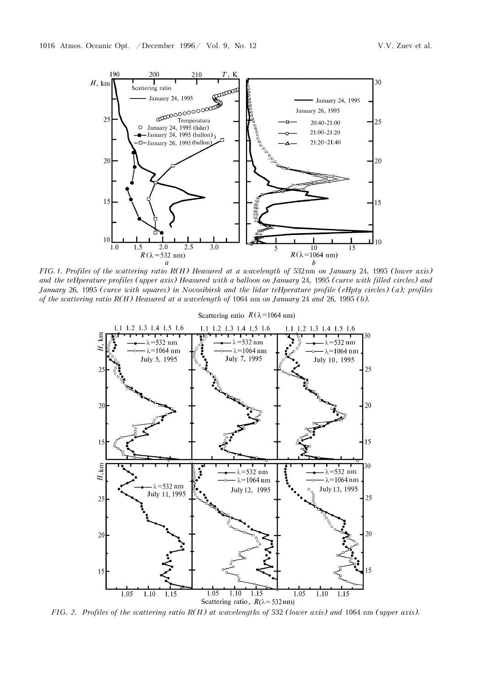

*FIG.1. Profiles of the scattering ratio R(H) measured at a wavelength of* 532nm *on January* 24*,* 1995 *(lower axis) and the temperature profiles (upper axis) measured with a balloon on January* 24*,* 1995 *(curve with filled circles) and January* 26, 1995 (curve with squares) in Novosibirsk and the lidar teHperature profile (eHpty circles) (a); profiles *of the scattering ratio R(H) measured at a wavelength of* 1064 nm *on January* 24 *and* 26*,* 1995 *(b).* 



*FIG. 2. Profiles of the scattering ratio R(H) at wavelengths of 532 (lower axis) and 1064 nm (upper axis).*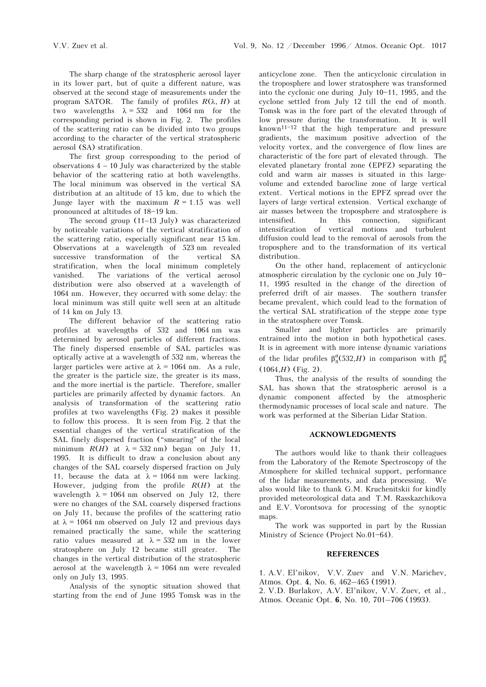The sharp change of the stratospheric aerosol layer in its lower part, but of quite a different nature, was observed at the second stage of measurements under the program SATOR. The family of profiles *R*(λ, *H*) at two wavelengths  $\lambda = 532$  and 1064 nm for the corresponding period is shown in Fig. 2. The profiles of the scattering ratio can be divided into two groups according to the character of the vertical stratospheric aerosol (SA) stratification.

The first group corresponding to the period of observations  $4 - 10$  July was characterized by the stable behavior of the scattering ratio at both wavelengths. The local minimum was observed in the vertical SA distribution at an altitude of 15 km, due to which the Junge layer with the maximum  $R = 1.15$  was well pronounced at altitudes of 18-19 km.

The second group (11−13 July) was characterized by noticeable variations of the vertical stratification of the scattering ratio, especially significant near 15 km. Observations at a wavelength of 523 nm revealed successive transformation of the vertical SA stratification, when the local minimum completely vanished. The variations of the vertical aerosol distribution were also observed at a wavelength of 1064 nm. However, they occurred with some delay: the local minimum was still quite well seen at an altitude of 14 km on July 13.

The different behavior of the scattering ratio profiles at wavelengths of 532 and 1064 nm was determined by aerosol particles of different fractions. The finely dispersed ensemble of SAL particles was optically active at a wavelength of 532 nm, whereas the larger particles were active at  $\lambda = 1064$  nm. As a rule, the greater is the particle size, the greater is its mass, and the more inertial is the particle. Therefore, smaller particles are primarily affected by dynamic factors. An analysis of transformation of the scattering ratio profiles at two wavelengths (Fig. 2) makes it possible to follow this process. It is seen from Fig. 2 that the essential changes of the vertical stratification of the SAL finely dispersed fraction ("smearing" of the local minimum  $R(H)$  at  $\lambda = 532$  nm) began on July 11, 1995. It is difficult to draw a conclusion about any changes of the SAL coarsely dispersed fraction on July 11, because the data at  $\lambda = 1064$  nm were lacking. However, judging from the profile *R*(*H*) at the wavelength  $\lambda = 1064$  nm observed on July 12, there were no changes of the SAL coarsely dispersed fractions on July 11, because the profiles of the scattering ratio at  $\lambda$  = 1064 nm observed on July 12 and previous days remained practically the same, while the scattering ratio values measured at  $\lambda = 532$  nm in the lower stratosphere on July 12 became still greater. The changes in the vertical distribution of the stratospheric aerosol at the wavelength  $\lambda = 1064$  nm were revealed only on July 13, 1995.

Analysis of the synoptic situation showed that starting from the end of June 1995 Tomsk was in the anticyclone zone. Then the anticyclonic circulation in the troposphere and lower stratosphere was transformed into the cyclonic one during July  $10-11$ , 1995, and the cyclone settled from July 12 till the end of month. Tomsk was in the fore part of the elevated through of low pressure during the transformation. It is well known<sup>11-12</sup> that the high temperature and pressure gradients, the maximum positive advection of the velocity vortex, and the convergence of flow lines are characteristic of the fore part of elevated through. The elevated planetary frontal zone (EPFZ) separating the cold and warm air masses is situated in this largevolume and extended barocline zone of large vertical extent. Vertical motions in the EPFZ spread over the layers of large vertical extension. Vertical exchange of air masses between the troposphere and stratosphere is intensified. In this connection, significant intensification of vertical motions and turbulent diffusion could lead to the removal of aerosols from the troposphere and to the transformation of its vertical distribution.

On the other hand, replacement of anticyclonic atmospheric circulation by the cyclonic one on July  $10-$ 11, 1995 resulted in the change of the direction of preferred drift of air masses. The southern transfer became prevalent, which could lead to the formation of the vertical SAL stratification of the steppe zone type in the stratosphere over Tomsk.

Smaller and lighter particles are primarily entrained into the motion in both hypothetical cases. It is in agreement with more intense dynamic variations of the lidar profiles  $\beta_{\pi}^a(532,H)$  in comparison with  $\beta_{\pi}^a$ (1064,*H*) (Fig. 2).

Thus, the analysis of the results of sounding the SAL has shown that the stratospheric aerosol is a dynamic component affected by the atmospheric thermodynamic processes of local scale and nature. The work was performed at the Siberian Lidar Station.

## **ACKNOWLEDGMENTS**

The authors would like to thank their colleagues from the Laboratory of the Remote Spectroscopy of the Atmosphere for skilled technical support, performance of the lidar measurements, and data processing. We also would like to thank G.M. Kruchenitskii for kindly provided meteorological data and T.M. Rasskazchikova and E.V. Vorontsova for processing of the synoptic maps.

The work was supported in part by the Russian Ministry of Science (Project No.01-64).

## **REFERENCES**

1. A.V. El'nikov, V.V. Zuev and V.N. Marichev, Atmos. Opt. **4**, No. 6, 462–465 (1991).

2. V.D. Burlakov, A.V. El'nikov, V.V. Zuev, et al., Atmos. Oceanic Opt. **6**, No. 10, 701–706 (1993).